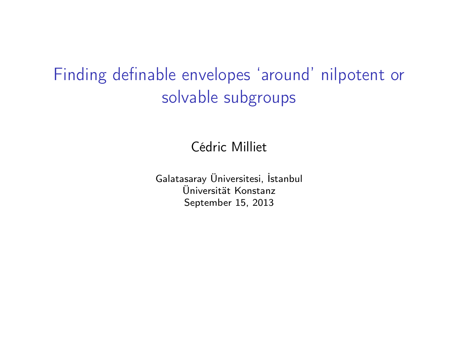### Finding definable envelopes 'around' nilpotent or solvable subgroups

Cédric Milliet

Galatasaray Üniversitesi, İstanbul Üniversität Konstanz September 15, 2013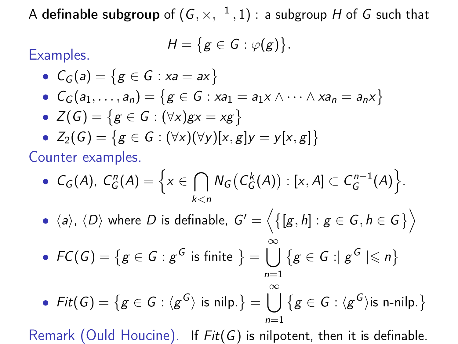A **definable subgroup** of  $(G,\times,^{-1},1)$  : a subgroup  $H$  of  $G$  such that

$$
H=\big\{g\in G:\varphi(g)\big\}.
$$

Examples.

\n- \n
$$
C_G(a) = \{ g \in G : xa = ax \}
$$
\n
\n- \n
$$
C_G(a_1, \ldots, a_n) = \{ g \in G : xa_1 = a_1 x \land \cdots \land xa_n = a_n x \}
$$
\n
\n- \n
$$
Z(G) = \{ g \in G : (\forall x)gx = xg \}
$$
\n
\n- \n
$$
Z_2(G) = \{ g \in G : (\forall x) (\forall y) [x, g] y = y [x, g] \}
$$
\n
\n

Counter examples.

• 
$$
C_G(A)
$$
,  $C_G^n(A) = \left\{ x \in \bigcap_{k < n} N_G(C_G^k(A)) : [x, A] \subset C_G^{n-1}(A) \right\}.$ 

 $\langle \hspace{0.5mm} \bullet \hspace{0.5mm} \langle a \rangle, \hspace{0.5mm} \langle D \rangle \hspace{0.5mm}$  where  $D$  is definable,  $\hspace{0.5mm} G' = \Big\langle \big\{[g,h]: g \in G, h \in G\big\} \Big\rangle$ 

• 
$$
FC(G) = \{g \in G : g^G \text{ is finite }\} = \bigcup_{n=1}^{\infty} \{g \in G : |g^G| \le n\}
$$

• Fit(G) = {
$$
g \in G : \langle g^G \rangle
$$
 is nilp.} =  $\bigcup_{n=1}^{\infty} \{g \in G : \langle g^G \rangle$  is n-nilp.}

Remark (Ould Houcine). If  $Fit(G)$  is nilpotent, then it is definable.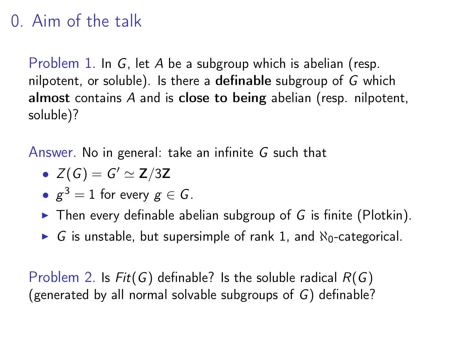### 0. Aim of the talk

Problem 1. In G, let A be a subgroup which is abelian (resp. nilpotent, or soluble). Is there a definable subgroup of G which almost contains A and is close to being abelian (resp. nilpotent, soluble)?

Answer. No in general: take an infinite G such that

• 
$$
Z(G) = G' \simeq Z/3Z
$$

- $g^3=1$  for every  $g\in G.$
- $\triangleright$  Then every definable abelian subgroup of G is finite (Plotkin).
- $\triangleright$  G is unstable, but supersimple of rank 1, and  $\aleph_0$ -categorical.

Problem 2. Is  $Fit(G)$  definable? Is the soluble radical  $R(G)$ (generated by all normal solvable subgroups of G) definable?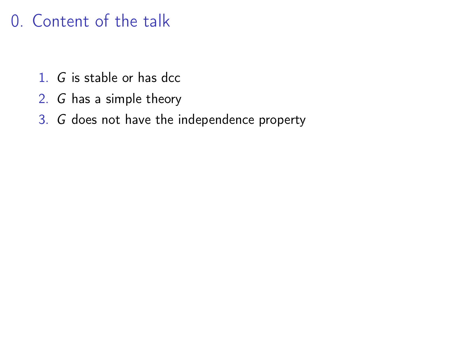### 0. Content of the talk

- 1. G is stable or has dcc
- 2. G has a simple theory
- 3. G does not have the independence property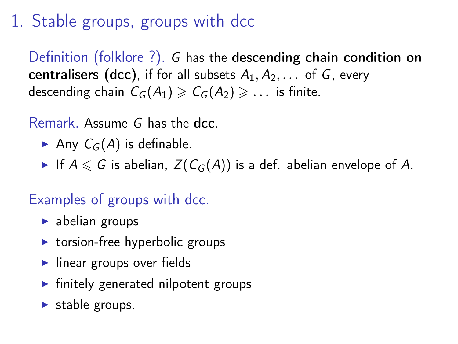# 1. Stable groups, groups with dcc

Definition (folklore ?). G has the descending chain condition on centralisers (dcc), if for all subsets  $A_1, A_2, \ldots$  of G, every descending chain  $C_G(A_1) \geq C_G(A_2) \geq \ldots$  is finite.

Remark. Assume G has the dcc.

- Any  $C_G(A)$  is definable.
- If  $A \le G$  is abelian,  $Z(C_G(A))$  is a def. abelian envelope of A.

#### Examples of groups with dcc.

- $\blacktriangleright$  abelian groups
- $\triangleright$  torsion-free hyperbolic groups
- $\blacktriangleright$  linear groups over fields
- $\blacktriangleright$  finitely generated nilpotent groups
- $\blacktriangleright$  stable groups.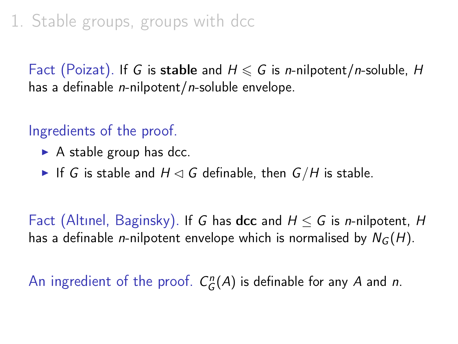# 1. Stable groups, groups with dcc

Fact (Poizat). If G is stable and  $H \le G$  is *n*-nilpotent/*n*-soluble, H has a definable *n*-nilpotent/n-soluble envelope.

#### Ingredients of the proof.

- $\triangleright$  A stable group has dcc.
- If G is stable and  $H \lhd G$  definable, then  $G/H$  is stable.

Fact (Altinel, Baginsky). If G has dcc and  $H \leq G$  is *n*-nilpotent, H has a definable *n*-nilpotent envelope which is normalised by  $N_G(H)$ .

An ingredient of the proof.  $C_G^n(A)$  is definable for any A and n.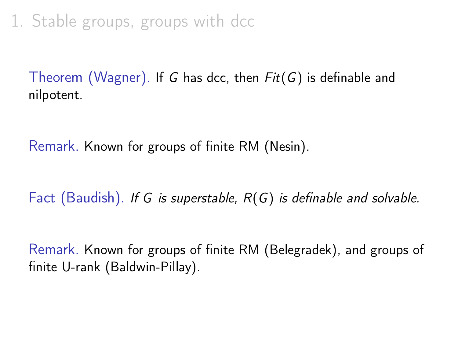1. Stable groups, groups with dcc

Theorem (Wagner). If G has dcc, then  $Fit(G)$  is definable and nilpotent.

Remark. Known for groups of finite RM (Nesin).

Fact (Baudish). If G is superstable,  $R(G)$  is definable and solvable.

Remark. Known for groups of finite RM (Belegradek), and groups of finite U-rank (Baldwin-Pillay).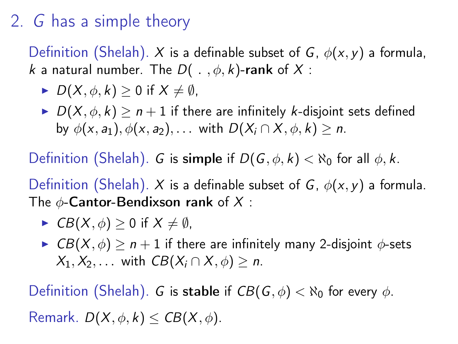Definition (Shelah). X is a definable subset of G,  $\phi(x, y)$  a formula, k a natural number. The  $D(\cdot, \phi, k)$ -rank of X:

- $D(X, \phi, k) > 0$  if  $X \neq \emptyset$ ,
- $D(X, \phi, k) \ge n + 1$  if there are infinitely k-disjoint sets defined by  $\phi(x, a_1), \phi(x, a_2), \ldots$  with  $D(X_i \cap X, \phi, k) > n$ .

Definition (Shelah). G is simple if  $D(G, \phi, k) < \aleph_0$  for all  $\phi, k$ .

Definition (Shelah). X is a definable subset of G,  $\phi(x, y)$  a formula. The  $\phi$ -Cantor-Bendixson rank of X:

- $\blacktriangleright$  CB(X,  $\phi$ ) > 0 if  $X \neq \emptyset$ ,
- $\triangleright$   $CB(X, \phi) \ge n + 1$  if there are infinitely many 2-disjoint  $\phi$ -sets  $X_1, X_2, \ldots$  with  $CB(X_i \cap X, \phi) > n$ .

Definition (Shelah). G is stable if  $CB(G, \phi) < \aleph_0$  for every  $\phi$ . Remark.  $D(X, \phi, k) \leq CB(X, \phi)$ .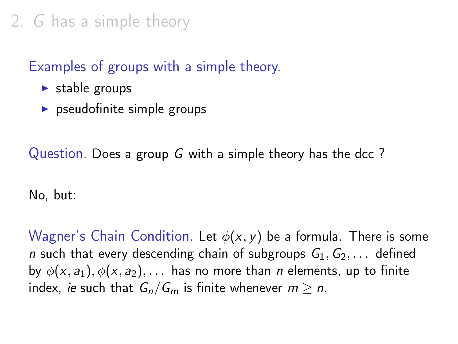#### Examples of groups with a simple theory.

- $\blacktriangleright$  stable groups
- $\triangleright$  pseudofinite simple groups

Question. Does a group G with a simple theory has the dcc ?

No, but:

Wagner's Chain Condition. Let  $\phi(x, y)$  be a formula. There is some *n* such that every descending chain of subgroups  $G_1, G_2, \ldots$  defined by  $\phi(x, a_1), \phi(x, a_2), \ldots$  has no more than *n* elements, up to finite index, *ie* such that  $G_n/G_m$  is finite whenever  $m \geq n$ .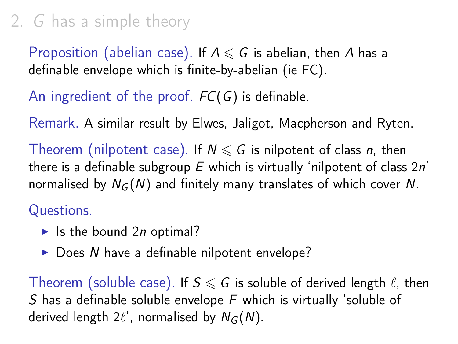Proposition (abelian case). If  $A \le G$  is abelian, then A has a definable envelope which is finite-by-abelian (ie FC).

### An ingredient of the proof.  $FC(G)$  is definable.

Remark. A similar result by Elwes, Jaligot, Macpherson and Ryten.

Theorem (nilpotent case). If  $N \le G$  is nilpotent of class n, then there is a definable subgroup  $E$  which is virtually 'nilpotent of class  $2n'$ normalised by  $N_G(N)$  and finitely many translates of which cover N.

#### Questions.

- In Ithe bound 2n optimal?
- $\triangleright$  Does N have a definable nilpotent envelope?

Theorem (soluble case). If  $S \le G$  is soluble of derived length  $\ell$ , then S has a definable soluble envelope F which is virtually 'soluble of derived length  $2\ell'$ , normalised by  $N_G(N)$ .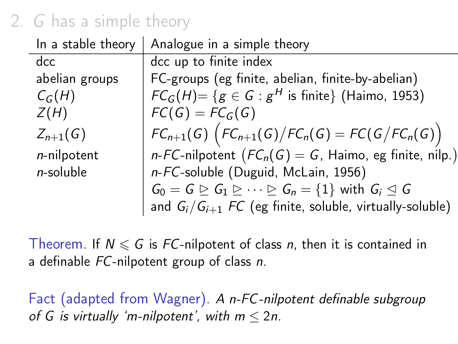| In a stable theory | Analogue in a simple theory                                                                                      |
|--------------------|------------------------------------------------------------------------------------------------------------------|
| dec                | dcc up to finite index                                                                                           |
| abelian groups     | FC-groups (eg finite, abelian, finite-by-abelian)                                                                |
| $C_G(H)$           | $FC_G(H) = \{ g \in G : g^H \text{ is finite} \}$ (Haimo, 1953)                                                  |
| Z(H)               | $FC(G) = FC_G(G)$                                                                                                |
| $Z_{n+1}(G)$       | $FC_{n+1}(G) (FC_{n+1}(G) / FC_n(G) = FC(G / FC_n(G))$                                                           |
| $n$ -nilpotent     | n-FC-nilpotent $(FC_n(G) = G$ , Haimo, eg finite, nilp.)                                                         |
| $n$ -soluble       | n-FC-soluble (Duguid, McLain, 1956)                                                                              |
|                    | $G_0 = G \trianglerighteq G_1 \trianglerighteq \cdots \trianglerighteq G_n = \{1\}$ with $G_i \trianglelefteq G$ |
|                    | and $G_i/G_{i+1}$ FC (eg finite, soluble, virtually-soluble)                                                     |

Theorem. If  $N \le G$  is FC-nilpotent of class n, then it is contained in a definable FC-nilpotent group of class n.

Fact (adapted from Wagner). A n-FC-nilpotent definable subgroup of G is virtually 'm-nilpotent', with  $m < 2n$ .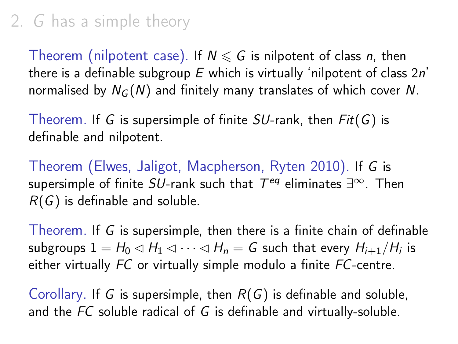Theorem (nilpotent case). If  $N \le G$  is nilpotent of class n, then there is a definable subgroup  $E$  which is virtually 'nilpotent of class  $2n'$ normalised by  $N_G(N)$  and finitely many translates of which cover N.

Theorem. If G is supersimple of finite  $SU$ -rank, then  $Fit(G)$  is definable and nilpotent.

Theorem (Elwes, Jaligot, Macpherson, Ryten 2010). If G is supersimple of finite  $SU$ -rank such that  $\mathcal{T}^{eq}$  eliminates  $\exists^\infty$ . Then  $R(G)$  is definable and soluble.

Theorem. If G is supersimple, then there is a finite chain of definable subgroups  $1 = H_0 \triangleleft H_1 \triangleleft \cdots \triangleleft H_n = G$  such that every  $H_{i+1}/H_i$  is either virtually FC or virtually simple modulo a finite FC-centre.

Corollary. If G is supersimple, then  $R(G)$  is definable and soluble, and the FC soluble radical of G is definable and virtually-soluble.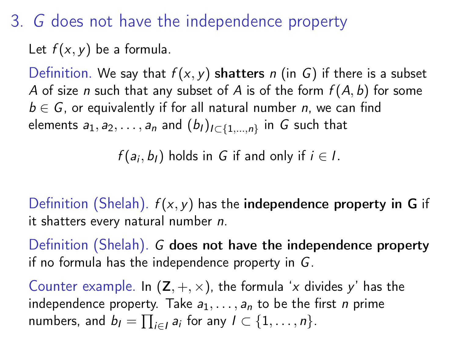3. G does not have the independence property

Let  $f(x, y)$  be a formula.

Definition. We say that  $f(x, y)$  shatters n (in G) if there is a subset A of size n such that any subset of A is of the form  $f(A, b)$  for some  $b \in G$ , or equivalently if for all natural number n, we can find elements  $a_1, a_2, \ldots, a_n$  and  $(b_l)_{l \subset \{1, \ldots, n\}}$  in  $G$  such that

 $f(a_i, b_i)$  holds in G if and only if  $i \in I$ .

Definition (Shelah).  $f(x, y)$  has the independence property in G if it shatters every natural number n.

Definition (Shelah). G does not have the independence property if no formula has the independence property in G.

Counter example. In  $(Z, +, \times)$ , the formula 'x divides y' has the independence property. Take  $a_1, \ldots, a_n$  to be the first *n* prime numbers, and  $b_l = \prod_{i \in l} a_i$  for any  $l \subset \{1, \ldots, n\}$ .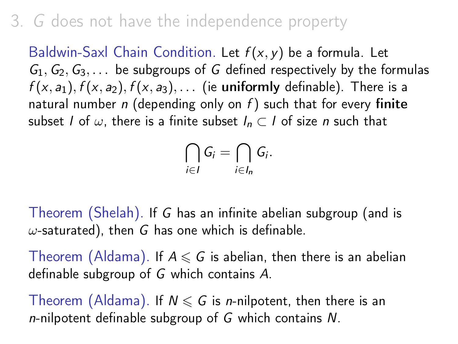### 3. G does not have the independence property

Baldwin-Saxl Chain Condition. Let  $f(x, y)$  be a formula. Let  $G_1, G_2, G_3, \ldots$  be subgroups of G defined respectively by the formulas  $f(x, a_1)$ ,  $f(x, a_2)$ ,  $f(x, a_3)$ , ... (ie uniformly definable). There is a natural number n (depending only on  $f$ ) such that for every finite subset I of  $\omega$ , there is a finite subset  $I_n \subset I$  of size n such that

$$
\bigcap_{i\in I}G_i=\bigcap_{i\in I_n}G_i.
$$

Theorem (Shelah). If G has an infinite abelian subgroup (and is  $\omega$ -saturated), then G has one which is definable.

Theorem (Aldama). If  $A \le G$  is abelian, then there is an abelian definable subgroup of G which contains A.

Theorem (Aldama). If  $N \le G$  is *n*-nilpotent, then there is an  $n$ -nilpotent definable subgroup of G which contains N.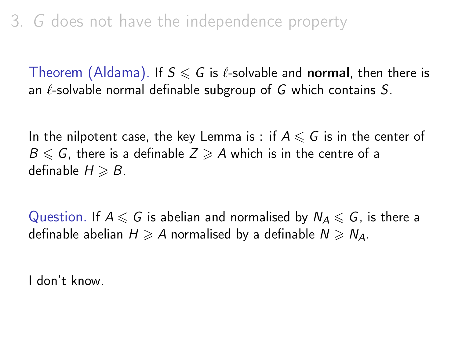Theorem (Aldama). If  $S \le G$  is  $\ell$ -solvable and normal, then there is an  $\ell$ -solvable normal definable subgroup of G which contains S.

In the nilpotent case, the key Lemma is : if  $A \leq G$  is in the center of  $B \leqslant G$ , there is a definable  $Z \geqslant A$  which is in the centre of a definable  $H \geqslant B$ .

Question. If  $A \le G$  is abelian and normalised by  $N_A \le G$ , is there a definable abelian  $H \geq A$  normalised by a definable  $N \geq N_A$ .

I don't know.